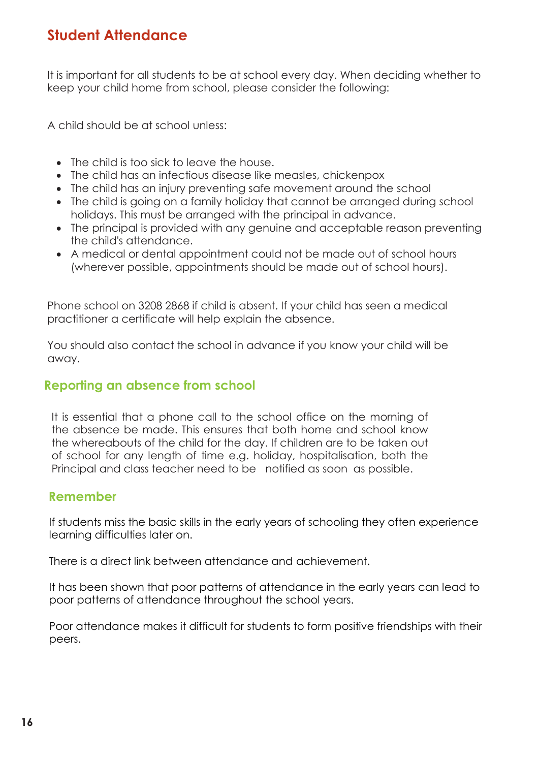## **Student Attendance**

It is important for all students to be at school every day. When deciding whether to keep your child home from school, please consider the following:

A child should be at school unless:

- The child is too sick to leave the house.
- The child has an infectious disease like measles, chickenpox
- The child has an injury preventing safe movement around the school
- The child is going on a family holiday that cannot be arranged during school holidays. This must be arranged with the principal in advance.
- The principal is provided with any genuine and acceptable reason preventing the child's attendance.
- A medical or dental appointment could not be made out of school hours (wherever possible, appointments should be made out of school hours).

Phone school on 3208 2868 if child is absent. If your child has seen a medical practitioner a certificate will help explain the absence.

You should also contact the school in advance if you know your child will be away.

#### **Reporting an absence from school**

It is essential that a phone call to the school office on the morning of the absence be made. This ensures that both home and school know the whereabouts of the child for the day. If children are to be taken out of school for any length of time e.g. holiday, hospitalisation, both the Principal and class teacher need to be notified as soon as possible.

#### **Remember**

If students miss the basic skills in the early years of schooling they often experience learning difficulties later on.

There is a direct link between attendance and achievement.

It has been shown that poor patterns of attendance in the early years can lead to poor patterns of attendance throughout the school years.

Poor attendance makes it difficult for students to form positive friendships with their peers.